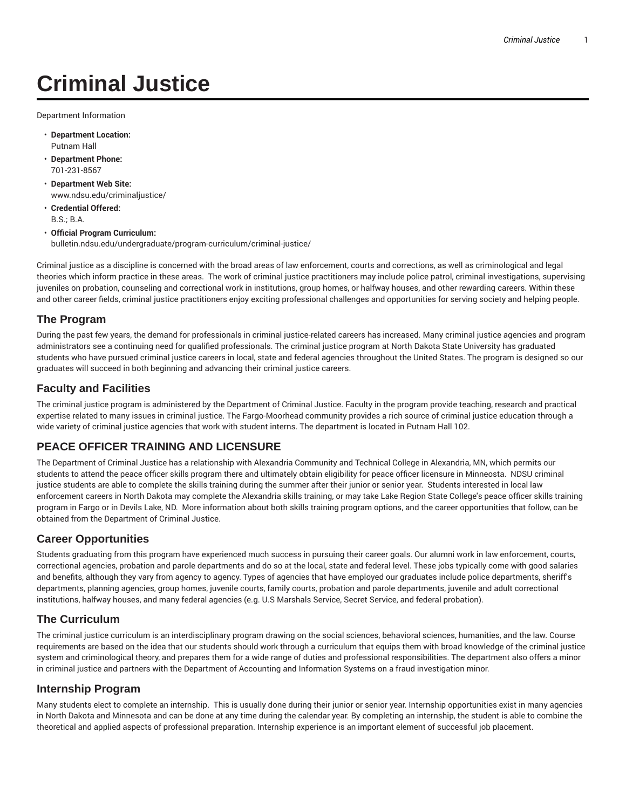# **Criminal Justice**

Department Information

- **Department Location:** Putnam Hall
- **Department Phone:** 701-231-8567
- **Department Web Site:** www.ndsu.edu/criminaljustice/
- **Credential Offered:** B.S.; B.A.
- **Official Program Curriculum:** bulletin.ndsu.edu/undergraduate/program-curriculum/criminal-justice/

Criminal justice as a discipline is concerned with the broad areas of law enforcement, courts and corrections, as well as criminological and legal theories which inform practice in these areas. The work of criminal justice practitioners may include police patrol, criminal investigations, supervising juveniles on probation, counseling and correctional work in institutions, group homes, or halfway houses, and other rewarding careers. Within these and other career fields, criminal justice practitioners enjoy exciting professional challenges and opportunities for serving society and helping people.

# **The Program**

During the past few years, the demand for professionals in criminal justice-related careers has increased. Many criminal justice agencies and program administrators see a continuing need for qualified professionals. The criminal justice program at North Dakota State University has graduated students who have pursued criminal justice careers in local, state and federal agencies throughout the United States. The program is designed so our graduates will succeed in both beginning and advancing their criminal justice careers.

#### **Faculty and Facilities**

The criminal justice program is administered by the Department of Criminal Justice. Faculty in the program provide teaching, research and practical expertise related to many issues in criminal justice. The Fargo-Moorhead community provides a rich source of criminal justice education through a wide variety of criminal justice agencies that work with student interns. The department is located in Putnam Hall 102.

# **PEACE OFFICER TRAINING AND LICENSURE**

The Department of Criminal Justice has a relationship with Alexandria Community and Technical College in Alexandria, MN, which permits our students to attend the peace officer skills program there and ultimately obtain eligibility for peace officer licensure in Minneosta. NDSU criminal justice students are able to complete the skills training during the summer after their junior or senior year. Students interested in local law enforcement careers in North Dakota may complete the Alexandria skills training, or may take Lake Region State College's peace officer skills training program in Fargo or in Devils Lake, ND. More information about both skills training program options, and the career opportunities that follow, can be obtained from the Department of Criminal Justice.

#### **Career Opportunities**

Students graduating from this program have experienced much success in pursuing their career goals. Our alumni work in law enforcement, courts, correctional agencies, probation and parole departments and do so at the local, state and federal level. These jobs typically come with good salaries and benefits, although they vary from agency to agency. Types of agencies that have employed our graduates include police departments, sheriff's departments, planning agencies, group homes, juvenile courts, family courts, probation and parole departments, juvenile and adult correctional institutions, halfway houses, and many federal agencies (e.g. U.S Marshals Service, Secret Service, and federal probation).

#### **The Curriculum**

The criminal justice curriculum is an interdisciplinary program drawing on the social sciences, behavioral sciences, humanities, and the law. Course requirements are based on the idea that our students should work through a curriculum that equips them with broad knowledge of the criminal justice system and criminological theory, and prepares them for a wide range of duties and professional responsibilities. The department also offers a minor in criminal justice and partners with the Department of Accounting and Information Systems on a fraud investigation minor.

#### **Internship Program**

Many students elect to complete an internship. This is usually done during their junior or senior year. Internship opportunities exist in many agencies in North Dakota and Minnesota and can be done at any time during the calendar year. By completing an internship, the student is able to combine the theoretical and applied aspects of professional preparation. Internship experience is an important element of successful job placement.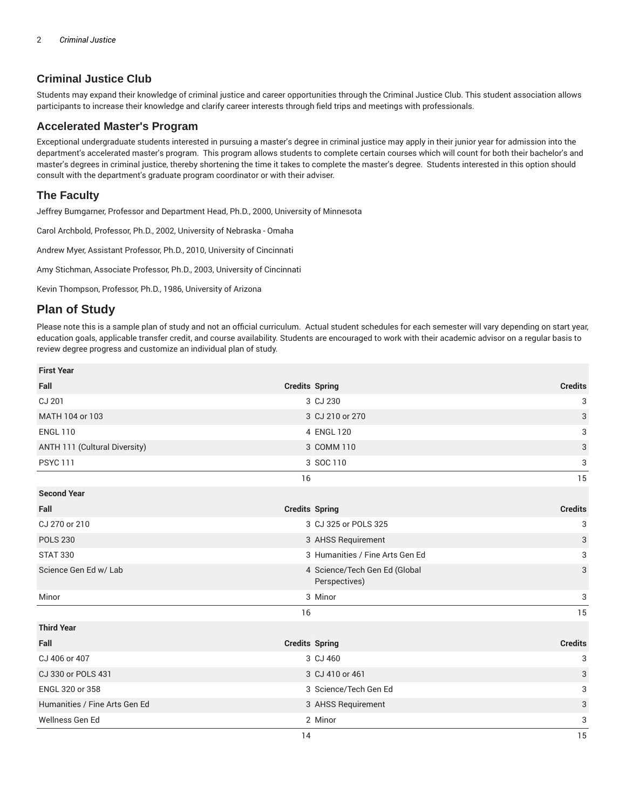# **Criminal Justice Club**

Students may expand their knowledge of criminal justice and career opportunities through the Criminal Justice Club. This student association allows participants to increase their knowledge and clarify career interests through field trips and meetings with professionals.

### **Accelerated Master's Program**

Exceptional undergraduate students interested in pursuing a master's degree in criminal justice may apply in their junior year for admission into the department's accelerated master's program. This program allows students to complete certain courses which will count for both their bachelor's and master's degrees in criminal justice, thereby shortening the time it takes to complete the master's degree. Students interested in this option should consult with the department's graduate program coordinator or with their adviser.

## **The Faculty**

Jeffrey Bumgarner, Professor and Department Head, Ph.D., 2000, University of Minnesota

Carol Archbold, Professor, Ph.D., 2002, University of Nebraska - Omaha

Andrew Myer, Assistant Professor, Ph.D., 2010, University of Cincinnati

Amy Stichman, Associate Professor, Ph.D., 2003, University of Cincinnati

Kevin Thompson, Professor, Ph.D., 1986, University of Arizona

# **Plan of Study**

Please note this is a sample plan of study and not an official curriculum. Actual student schedules for each semester will vary depending on start year, education goals, applicable transfer credit, and course availability. Students are encouraged to work with their academic advisor on a regular basis to review degree progress and customize an individual plan of study.

| <b>First Year</b>             |                       |                                                |                |
|-------------------------------|-----------------------|------------------------------------------------|----------------|
| Fall                          | <b>Credits Spring</b> |                                                | <b>Credits</b> |
| CJ 201                        |                       | 3 CJ 230                                       | 3              |
| MATH 104 or 103               |                       | 3 CJ 210 or 270                                | 3              |
| <b>ENGL 110</b>               |                       | 4 ENGL 120                                     | 3              |
| ANTH 111 (Cultural Diversity) |                       | 3 COMM 110                                     | 3              |
| <b>PSYC 111</b>               |                       | 3 SOC 110                                      | 3              |
|                               | 16                    |                                                | 15             |
| <b>Second Year</b>            |                       |                                                |                |
| Fall                          | <b>Credits Spring</b> |                                                | <b>Credits</b> |
| CJ 270 or 210                 |                       | 3 CJ 325 or POLS 325                           | 3              |
| <b>POLS 230</b>               |                       | 3 AHSS Requirement                             | 3              |
| <b>STAT 330</b>               |                       | 3 Humanities / Fine Arts Gen Ed                | 3              |
| Science Gen Ed w/ Lab         |                       | 4 Science/Tech Gen Ed (Global<br>Perspectives) | 3              |
| Minor                         |                       | 3 Minor                                        | 3              |
|                               | 16                    |                                                | 15             |
| <b>Third Year</b>             |                       |                                                |                |
| Fall                          | <b>Credits Spring</b> |                                                | <b>Credits</b> |
| CJ 406 or 407                 |                       | 3 CJ 460                                       | 3              |
| CJ 330 or POLS 431            |                       | 3 CJ 410 or 461                                | 3              |
| ENGL 320 or 358               |                       | 3 Science/Tech Gen Ed                          | 3              |
| Humanities / Fine Arts Gen Ed |                       | 3 AHSS Requirement                             | 3              |
| Wellness Gen Ed               |                       | 2 Minor                                        | 3              |
|                               | 14                    |                                                | 15             |